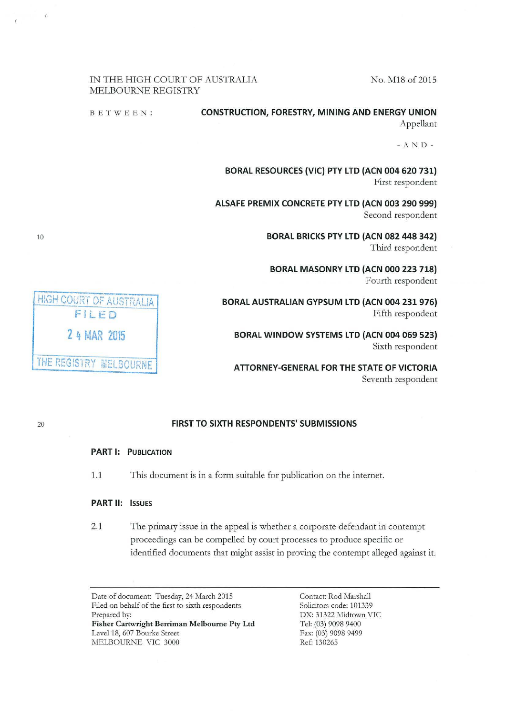No. M18 of 2015

### IN THE HIGH COURT OF AUSTRALIA MELBOURNE REGISTRY

BETWEEN: **CONSTRUCTION, FORESTRY, MINING AND ENERGY UNION** Appellant

- A N D -

BORAL RESOURCES (VIC) PTY LTD (ACN 004 620 731) First respondent

ALSAFE PREMIX CONCRETE PTY LTD (ACN 003 290 999) Second respondent

> BORAL BRICKS PTY LTD (ACN 082 448 342) Third respondent

BORAL MASONRY LTD (ACN 000 223 718) Fourth respondent

HIGH COURT OF AUSTRALIA BORAL AUSTRALIAN GYPSUM LTD (ACN 004 231 976) FILED Fifth respondent

2 4 MAR 2015 **BORAL WINDOW SYSTEMS LTD (ACN 004 069 523)** Sixth respondent

Seventh respondent

### 20 FIRST TO SIXTH RESPONDENTS' SUBMISSIONS

## PART 1: PUBLICATION

1.1 This document is in a form suitable for publication on the internet.

### PART II: ISSUES

2.1 The primary issue in the appeal is whether a corporate defendant in contempt proceedings can be compelled by court processes to produce specific or identified documents that might assist in proving the contempt alleged against it.

Date of document: Tuesday, 24 March 2015 Filed on behalf of the first to sixth respondents Prepared by: Fisher Cartwright Berriman Melbourne Pty Ltd Level 18, 607 Bourke Street MELBOURNE VIC 3000

Contact: Rod Marshall Solicitors code: 101339 DX: 31322 Midtown VIC Tel: (03) 9098 9400 Fax: (03) 9098 9499 Ref: 130265

THE REGISTRY MELBOURNE **THE REGISTRY MELBOURNE**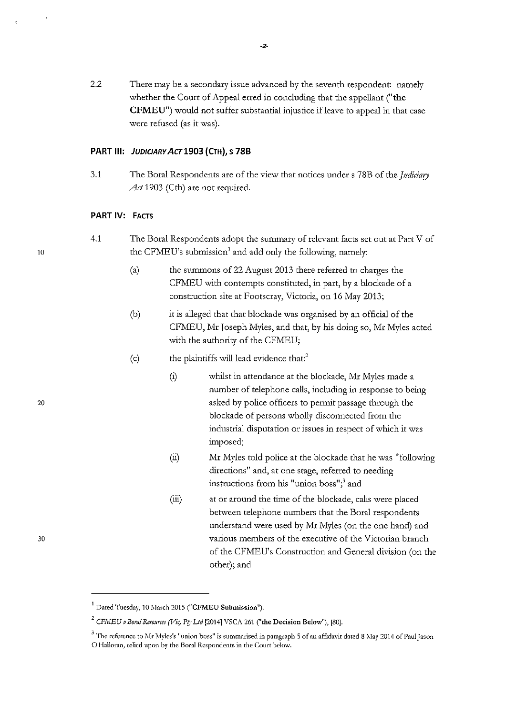2.2 There may be a secondary issue advanced by the seventh respondent: namely whether the Court of Appeal erred in concluding that the appellant ("the CFMEU") would not suffer substantial injustice ifleave to appeal in that case were refused (as it was).

### PART III: JUDICIARY ACT 1903 (CTH), S 78B

3.1 The Boral Respondents are of the view that notices under s 78B of the *Judiciary Act* 1903 (Cth) are not required.

## PART IV: FACTS

- 4.1 The Bora! Respondents adopt the summaq of relevant facts set out at Part V of the CFMEU's submission' and add only the following, namely:
	- (a) the summons of 22 August 2013 there referred to charges the CFMEU with contempts constituted, in part, by a blockade of a construction site at Footscray, Victoria, on 16 May 2013;
	- (b) it is alleged that that blockade was organised by an official of the CFMEU, Mr Joseph Myles, and that, by his doing so, Mr Myles acted with the authority of the CFMEU;
	- $(c)$  the plaintiffs will lead evidence that:<sup>2</sup>
		- (i) whilst in attendance at the blockade, Mr Myles made a number of telephone calls, including in response to being asked by police officers to permit passage through the blockade of persons wholly disconnected from the industrial disputation or issues in respect of which it was imposed;
		- (ii) Mr Myles told police at the blockade that he was "following directions" and, at one stage, referred to needing instructions from his "union boss"; $3$  and
		- (iii) at or around the time of the blockade, calls were placed between telephone numbers that the Boral respondents understand were used by Mr Myles (on the one hand) and various members of the executive of the Victorian branch of the CFMEU's Constmction and General division (on the other); and

10

20

 $<sup>1</sup>$  Dated Tuesday, 10 March 2015 ("CFMEU Submission").</sup>

 $^2$  CFMEU v Boral Resources (Vic) Pty Ltd <sup>[2014]</sup> VSCA 261 ("the Decision Below"), [80].

 $3$  The reference to Mr Myles's "union boss" is summarised in paragraph 5 of an affidavit dated 8 May 2014 of Paul Jason O'Halloran, relied upon by the Boral Respondents in the Court below.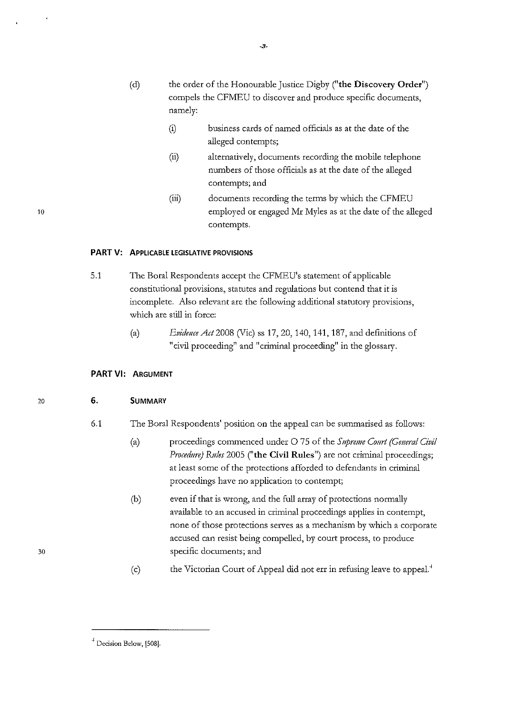- (d) the order of the Honourable Justice Digby ("the Discovery Order") compels the CFMEU to discover and produce specific documents, namely:
	- (i) business cards of named officials as at the date of the alleged contempts;
	- (ii) alternatively, documents recording the mobile telephone numbers of those officials as at the date of the alleged contempts; and
	- (iii) documents recording the terms by which the CFMEU employed or engaged Mr Myles as at the date of the alleged contempts.

#### **PART V:** APPLICABLE LEGISLATIVE PROVISIONS

- 5.1 The Bora! Respondents accept the CFMEU's statement of applicable constitutional provisions, statutes and regulations but contend that it is incomplete. Also relevant are the following additional statutory provisions, which are still in force:
	- (a) *Evidmce Act* 2008 (Vic) ss 17, 20, 140, 141, 187, and definitions of "civil proceeding" and "criminal proceeding" in the glossary.

#### **PART VI:** ARGUMENT

### 6. SUMMARY

- 6.1 The Bora! Respondents' position on the appeal can be summarised as follows:
	- (a) proceedings commenced under 0 75 of the *Supreme Court (General Civil Procedure)* Rules 2005 ("the Civil Rules") are not criminal proceedings; at least some of the protections afforded to defendants in criminal proceedings have no application to contempt;
	- (b) even if that is wrong, and the full array of protections normally available to an accused in criminal proceedings applies in contempt, none of those protections serves as a mechanism by which a corporate accused can resist being compelled, by court process, to produce specific documents; and
	- (c) the Victorian Court of Appeal did not err in refusing leave to appeaL'

20

<sup>&</sup>lt;sup>4</sup> Decision Below, [508].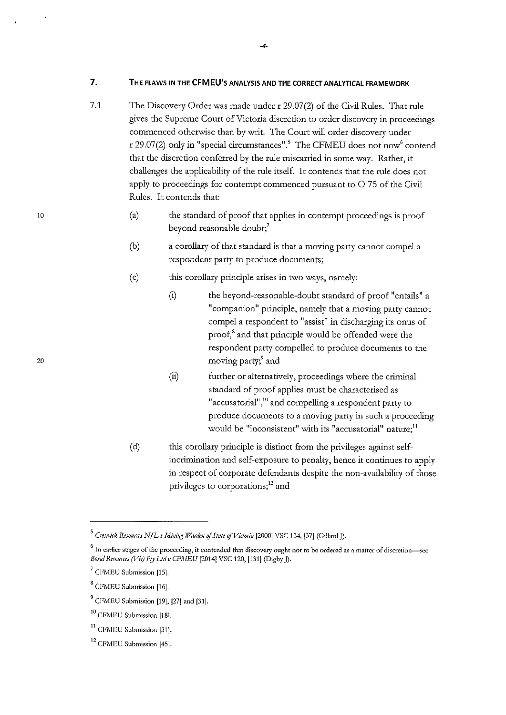**7. THE FLAWS IN THE CFMEU'S ANALYSIS AND THE CORRECT ANALYTICAL FRAMEWORK** 

- 7.1 The Discovery Order was made under r 29.07(2) of the Civil Rules. That rule gives the Supreme Court of Victoria discretion to order discovery in proceedings commenced othenvise than by writ. The Court will order discovery under r 29.07(2) only in "special circumstances".<sup>5</sup> The CFMEU does not now<sup>6</sup> contend that the discretion conferred by the rule miscanied in some way. Rather, it challenges the applicability of the rule itself. It contends that the rule does not apply to proceedings for contempt commenced pursuant to  $O$  75 of the Civil Rules. It contends that:
	- (a) the standard of proof that applies in contempt proceedings is proof beyond reasonable doubt;<sup>7</sup>
	- (b) a corollary of that standard is that a moving party cannot compel a respondent party to produce documents;
	- (c) this corollary principle arises in two ways, namely:
		- (i) the beyond-reasonable-doubt standard of proof "entails" a "companion" principle, namely that a moving party cannot compel a respondent to "assist" in discharging its onus of proof,<sup>8</sup> and that principle would be offended were the respondent party compelled to produce documents to the moving party;<sup>9</sup> and
		- (ii) further or alternatively, proceedings where the criminal standard of proof applies must be characterised as **"accusatorial",<sup>10</sup>and compelling a respondent party to**  produce documents to a moving party in such a proceeding **would be "inconsistent" with its "accusatorial" nature;<sup>11</sup>**
	- (d) this corollary principle is distinct from the privileges against selfincrimination and self-exposure to penalty, hence it continues to apply in respect of corporate defendants despite the non-availability of those privileges to corporations;<sup>12</sup> and

<sup>&</sup>lt;sup>5</sup> Creswick Resources N/L v Mining Warden of State of Victoria [2000] VSC 134, [37] (Gillard *[*).

<sup>&</sup>lt;sup>6</sup> In earlier stages of the proceeding, it contended that discovery ought not to be ordered as a matter of discretion-see *Boral Resources (Vic) Pty Ltd v CFMEU* [2014] VSC 120, [131] (Digby ]).

<sup>&</sup>lt;sup>7</sup> CFMEU Submission [15].

<sup>&</sup>lt;sup>8</sup> CFMEU Submission [16].

<sup>&</sup>lt;sup>9</sup> CFMEU Submission [19], [27] and [31].

<sup>&</sup>lt;sup>10</sup> CFMEU Submission [18].

<sup>&</sup>lt;sup>11</sup> CFMEU Submission [31].

<sup>&</sup>lt;sup>12</sup> CFMEU Submission [45].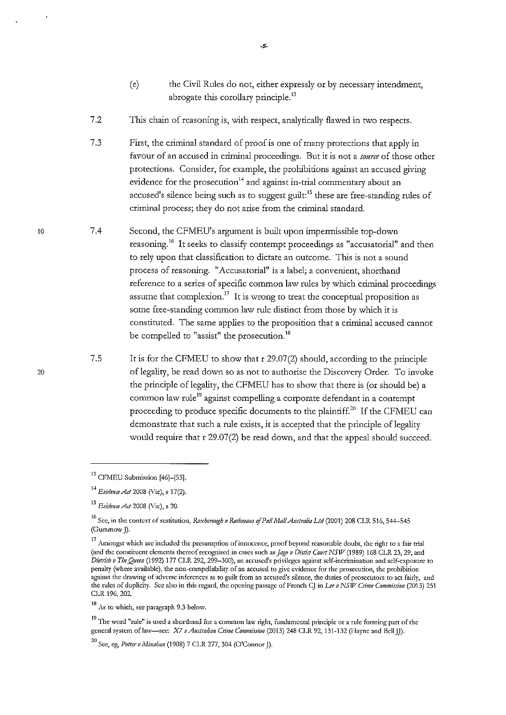- (e) the Civil Rules do not, either expressly or by necessary intendment, abrogate this corollary principle. $^{13}$
- 7.2 This chain of reasoning is, with respect, analytically flawed in two respects.
- 7.3 First, the criminal standard of proof is one of many protections that apply in favour of an accused in criminal proceedings. But it is not a *source* of those other protections. Consider, for example, the prohibitions against an accused giving evidence for the prosecution<sup>14</sup> and against in-trial commentary about an accused's silence being such as to suggest guilt:<sup>15</sup> these are free-standing rules of criminal process; they do not arise from the criminal standard.
- 7.4 Second, the CFMEU's argument is built upon impermissible top-down reasoning.<sup>16</sup> It seeks to classify contempt proceedings as "accusatorial" and then to rely upon that classification to dictate an outcome. This is not a sound process of reasoning. "Accusatorial" is a label; a convenient, shorthand reference to a series of specific common law rules by which criminal proceedings assume that complexion.<sup>17</sup> It is wrong to treat the conceptual proposition as some free-standing common law rule distinct from those by which it is constituted. The same applies to the proposition that a criminal accused cannot be compelled to "assist" the prosecution.<sup>18</sup>
	- 7.5 It is for the CFMEU to show that r 29.07(2) should, according to the principle of legality, be read down so as not to authorise the Discovery Order. To invoke the principle of legality, the CFMEU has to show that there is (or should be) a common law rule<sup>19</sup> against compelling a corporate defendant in a contempt proceeding to produce specific documents to the plaintiff.<sup>20</sup> If the CFMEU can demonstrate that such a rule exists, it is accepted that the principle of legality would require that r 29.07(2) be read down, and that the appeal should succeed.

-5-

<sup>13</sup> CFMEU Submission [46]-[55].

<sup>14</sup>*Evidmce Act* 2008 (Vic), s 17(2).

<sup>15</sup>*Evidmce Att* 2008 (Vic), s 20.

<sup>&</sup>lt;sup>16</sup> See, in the context of restitution, *Roxborough v Rothmans of Pall Mall Australia Ltd* (2001) 208 CLR 516, 544-545 (Gummow J).

 $17$  Amongst which are included the presumption of innocence, proof beyond reasonable doubt, the right to a fair trial (and the constituent elements thereof recognised in cases such as *Jago v Distict Court NSW* (1989) 168 CLR 23, 29, and *Dietdcb v The Queen* (1992) 177 CLR 292, 299-300), an accused's privileges against self-incrimination and self-exposure to penalty (where available), the non-compellability of an accused to give evidence for the prosecution, the prohibition against the drawing of adverse inferences as to guilt from an accused's silence, the duties of prosecutors to act fairly, and the rules of duplicity. Sec also in this regard, the opening passage of French CJ in *Lee v* NSIJ7 *Clime Cownission* (2013) 251 CLR 196, 202.

<sup>18</sup> As to which, sec paragraph 9.3 below.

<sup>&</sup>lt;sup>19</sup> The word "rule" is used a shorthand for a common law right, fundamental principle or a rule forming part of the general system of law-see: X7 *v Australian Crime Commission* (2013) 248 CLR 92, 131-132 (Hayne and Bell JJ).

<sup>&</sup>lt;sup>20</sup> See, eg, *Potter v Minaban* (1908) 7 CLR 277, 304 (O'Connor J).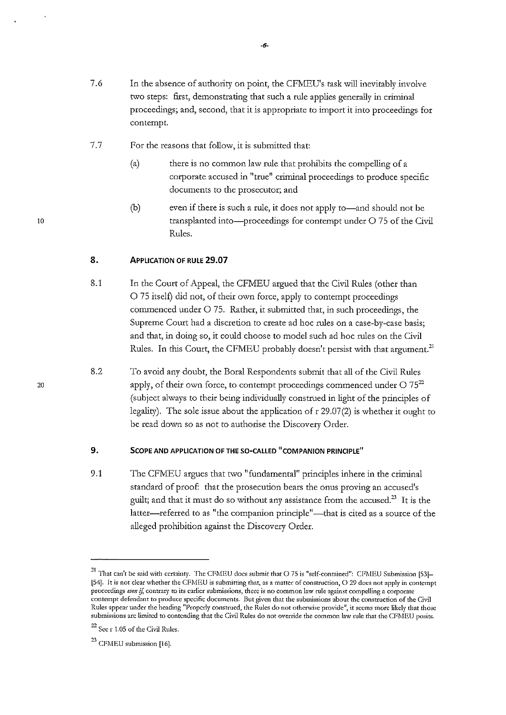- 7.6 In the absence of authority on point, the CFMEU's task will inevitably involve two steps: first, demonstrating that such a rule applies generally in criminal proceedings; and, second, that it is appropriate to import it into proceedings for contempt.
- 7.7 For the reasons that follow, it is submitted that:
	- (a) there is no common law rule that prohibits the compelling of a corporate accused in "true" criminal proceedings to produce specific documents to the prosecutor; and
	- (b) even if there is such a rule, it does not apply to-and should not be transplanted into-proceedings for contempt under O 75 of the Civil Rules.

## 8. **APPLICATION OF RULE 29.07**

- 8.1 In the Court of Appeal, the CFMEU argued that the Civil Rules (other than 0 75 itself) did not, of their own force, apply to contempt proceedings commenced under 0 75. Rather, it submitted that, in such proceedings, the Supreme Court had a discretion to create ad hoc rules on a case-by-case basis; and that, in doing so, it could choose to model such ad hoc rules on the Civil Rules. In this Court, the CFMEU probably doesn't persist with that argument.<sup>21</sup>
- 8.2 To avoid any doubt, the Bora! Respondents submit that all of the Civil Rules apply, of their own force, to contempt proceedings commenced under  $O 75^{22}$ (subject always to their being individually construed in light of the principles of legality). The sole issue about the application of r 29.07(2) is whether it ought to be read down so as not to authorise the Discovery Order.

## 9. SCOPE AND APPLICATION OF THE SO-CALLED "COMPANION PRINCIPLE"

9.1 The CFMEU argues that two "fundamental" principles inhere in the criminal standard of proof: that the prosecution bears the onus proving an accused's guilt; and that it must do so without any assistance from the accused.<sup>23</sup> It is the latter-referred to as "the companion principle"-that is cited as a source of the alleged prohibition against the Discovery Order.

 $21$  That can't be said with certainty. The CFMEU does submit that O 75 is "self-contained": CFMEU Submission [53]l54J. It is not clear whether the CFMEU is submitting that, as a matter of construction, 0 29 does not apply in contempt proceedings *evm* if, contrary to its earlier submissions, there is no common law rule against compelling a corporate contempt defendant to produce specific documents. But given that the submissions about the construction of the Civil Rules appear under the heading "Properly construed, the Rules do not otherwise provide", it seems more likely that those submissions arc limited to contending that the Civil Rules do not override the common law rule that the CFMEU posits.

<sup>22</sup> Sec r 1.05 of the Civil Rules.

 $23$  CFMEU submission [16].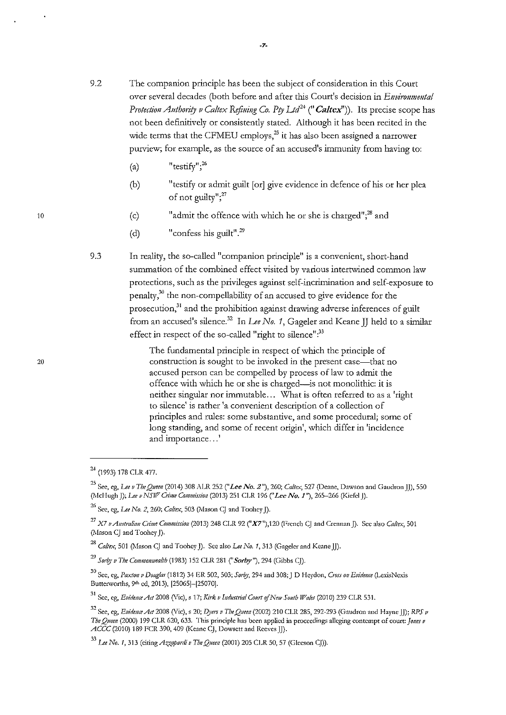- 9.2 The companion principle has been the subject of consideration in this Court over several decades (both before and after this Court's decision in *Environmental Protection Anthority v Caltex Refining Co. Pty Ltd<sup>24</sup> (" Caltex")). Its precise scope has* not been definitively or consistently stated. Although it has been recited in the wide terms that the CFMEU employs,<sup>25</sup> it has also been assigned a narrower purview; for example, as the source of an accused's immunity from having to:
	- $\langle a \rangle$ "testi $fv$ "<sup>26</sup>
	- (b) "testify or admit guilt [or] give evidence in defence of his or her plea of not guilty"; $^{27}$
	- (c) "admit the offence with which he or she is charged";<sup>28</sup> and
	- (d) "confess his guilt".<sup>29</sup>
- 9.3 In reality, the so-called "companion principle" is a convenient, short-hand summation of the combined effect visited by various intertwined common law protections, such as the privileges against self-incrimination and self-exposure to penalty, $3^{0}$  the non-compellability of an accused to give evidence for the prosecution,<sup>31</sup> and the prohibition against drawing adverse inferences of guilt from an accused's silence.<sup>32</sup> In *Lee No. 1*, Gageler and Keane JJ held to a similar effect in respect of the so-called "right to silence":<sup>33</sup>

The fundamental principle in respect of which the principle of construction is sought to be invoked in the present case—that no accused person can be compelled by process of law to admit the offence with which he or she is charged-is not monolithic: it is neither singular nor immutable ... What is often referred to as a 'right to silence' is rather 'a convenient description of a collection of principles and rules: some substantive, and some procedural; some of long standing, and some of recent origin', which differ in 'incidence and importance...'

<sup>24 (1993) 178</sup> CLR 477.

<sup>25</sup> See, eg, *Lee v TheQneen* (2014) 308 ALR 252 *("Lee No.2"),* 260; *Cal!ex,* 527 (Deane, Dawson and GaudronJJ), 550 (1\ki-Iugh J); *Lee v NSIF' CnJne CoJJJIJiission* (2013) 251 CLR 196 *("Lee No. 1* "), 265-266 (Kiefcl J).

<sup>&</sup>lt;sup>26</sup> See, eg, *Lee No. 2*, 260; *Caltex*, 503 (Mason CJ and Toohey J).

<sup>27</sup>*X7 /! A11stralia11 Clime Commission* (2013) 248 CLR 92 (" *X7* "), 120 (French CJ and Crennan J). Sec also *Caltex,* <sup>501</sup> (Mason CJ and Toohey J).

<sup>&</sup>lt;sup>28</sup> Caltex, 501 (Mason CJ and Toohey J). See also *Lee No. 1*, 313 (Gageler and Keane JJ).

<sup>&</sup>lt;sup>29</sup> Sorby v The Commonwealth (1983) 152 CLR 281 ("Sorby"), 294 (Gibbs CJ).

<sup>30</sup> See, eg, *Paxton v Douglas* (1812) 34 ER 502, 503; *Sor!!)', 194* and 308;J D Heydon, *Cross* 011 *Evidmce* (LexisNcxis Butterworths, 9<sup>th</sup> ed, 2013), [25065]-[25070].

<sup>&</sup>lt;sup>31</sup> See, eg, *Evidence Act* 2008 (Vic), s 17; *Kirk v Industrial Court of New South Wales* (2010) 239 CLR 531.

<sup>32</sup> Sec, eg, *Evidmce Act* 2008 (Vic), s 20; *pyers v The QHem (1001)* 210 CLR 285, 292-293 (Gaudron and Hayne JJ); *RPS v The Quem (1000)* 199 CLR 620, 633. This principle has been applied in proceedings alleging contempt of court: *]o11es v*  ACCC (2010) 189 FCR 390,409 (Keane CJ, Dowsett and Reeves JJ).

<sup>&</sup>lt;sup>33</sup> Lee No. 1, 313 (citing *Azzopardi v The Queen* (2001) 205 CLR 50, 57 (Gleeson CJ)).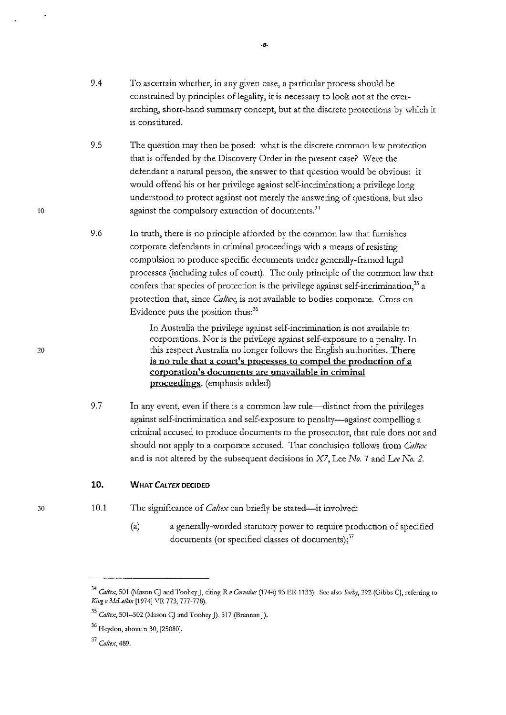- 9.4 To ascertain whether, in any given case, a particular process should be constrained by principles of legality, it is necessary to look not at the overarching, short-hand summary concept, but at the discrete protections by which it is constituted.
- 9.5 The question may then be posed: what is the discrete common law protection that is offended by the Discovery Order in the present case? Were the defendant a natural person, the answer to that question would be obvious: it would offend his or her privilege against self-incrimination; a privilege long understood to protect against not merely the answering of questions, but also against the compulsory extraction of documents.<sup>34</sup>
- 9.6 In ttuth, there is no principle afforded by the common law that furnishes corporate defendants in criminal proceedings with a means of resisting compulsion to produce specific documents under generally-framed legal processes (including tules of court). The only principle of the common law that confers that species of protection is the privilege against self-incrimination, $^{35}$  a protection that, since *Ca!tex,* is not available to bodies corporate. Cross on Evidence puts the position thus:<sup>36</sup>

In Australia the privilege against self-incrimination is not available to corporations. Nor is the privilege against self-exposure to a penalty. In this respect Australia no longer follows the English authorities. There is no rule that a court's processes to compel the production of a corporation's documents are unavailable in criminal proceedings. (emphasis added)

9.7 In any event, even if there is a common law rule-distinct from the privileges against self-incrimination and self-exposure to penalty-against compelling a criminal accused to produce documents to the prosecutor, that mle does not and should not apply to a corporate accused. That conclusion follows from *Ca!tex*  and is not altered by the subsequent decisions in X7, Lee *No. 1* and *Lee No. 2.* 

## 10. WHAT CALTEX DECIDED

- 10.1 The significance of *Caltex* can briefly be stated—it involved:
	- (a) a generally-worded statutory power to require production of specified documents (or specified classes of documents); $37$

10

20

<sup>&</sup>lt;sup>34</sup> Caltex, 501 (Mason CJ and Toohey J, citing R *v Cornelius* (1744) 93 ER 1133). See also *Sorby*, 292 (Gibbs CJ, referring to *KingvMiLelkm* [1974] VR 773, 777-778).

<sup>&</sup>lt;sup>35</sup> Caltex, 501–502 (Mason CJ and Toohey J), 517 (Brennan J).

<sup>36</sup> Heydon, above n 30, [25080].

<sup>37</sup>*Caltex,* 489.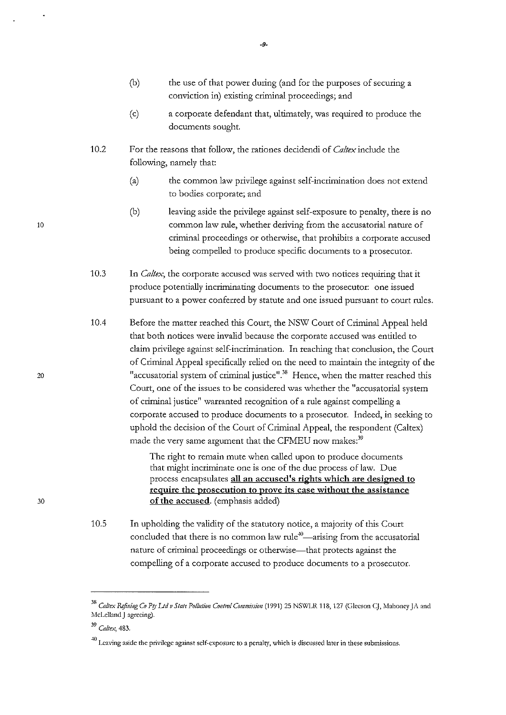- (b) the use of that power during (and for the purposes of securing a conviction in) existing criminal proceedings; and
- (c) a corporate defendant that, ultimately, was required to produce the documents sought
- 10.2 For the reasons that follow, the rationes decidendi of *Caitex* include the following, namely that:
	- (a) the common law privilege against self-incrimination does not extend to bodies corporate; and
	- (b) leaving aside the privilege against self-exposure to penalty, there is no common law rule, whether deriving from the accusatorial nature of criminal proceedings or otherwise, that prohibits a cotporate accused being compelled to produce specific documents to a prosecutor.
- 10.3 In *Caltex*, the corporate accused was served with two notices requiring that it produce potentially incriminating documents to the prosecutor: one issued pursuant to a power conferred by statute and one issued pursuant to court rules.
- 10.4 Before the matter reached this Court, the NSW Court of Criminal Appeal held that both notices were invalid because the corporate accused was entided to claim privilege against self-incrimination. In reaching that conclusion, the Court of Criminal Appeal specifically relied on the need to maintain the integrity of the "accusatorial system of criminal justice". $^{38}$  Hence, when the matter reached this Court, one of the issues to be considered was whether the "accusatorial system of criminal justice" warranted recognition of a rule against compelling a corporate accused to produce documents to a prosecutor. Indeed, in seeking to uphold the decision of the Court of Criminal Appeal, the respondent (Caltex) made the very same argument that the CFMEU now makes:<sup>39</sup>

The right to remain mute when called upon to produce documents that might incriminate one is one of the due process of law. Due process encapsulates all an accused's rights which are designed to require the prosecution to prove its case without the assistance of the accused. (emphasis added)

10.5 In upholding the validity of the statutory notice, a majority of this Court concluded that there is no common law rule<sup> $+0$ </sup>—arising from the accusatorial nature of criminal proceedings or otherwise—that protects against the compelling of a cotporate accused to produce documents to a prosecutor.

10

20

<sup>&</sup>lt;sup>38</sup> Caltex Refining Co Pty Ltd v State Pollution Control Commission (1991) 25 NSWLR 118, 127 (Gleeson CJ, Mahoney JA and McLelland J agreeing).

<sup>39</sup>*Ca/tex,* 483.

 $^{40}$  Leaving aside the privilege against self-exposure to a penalty, which is discussed later in these submissions.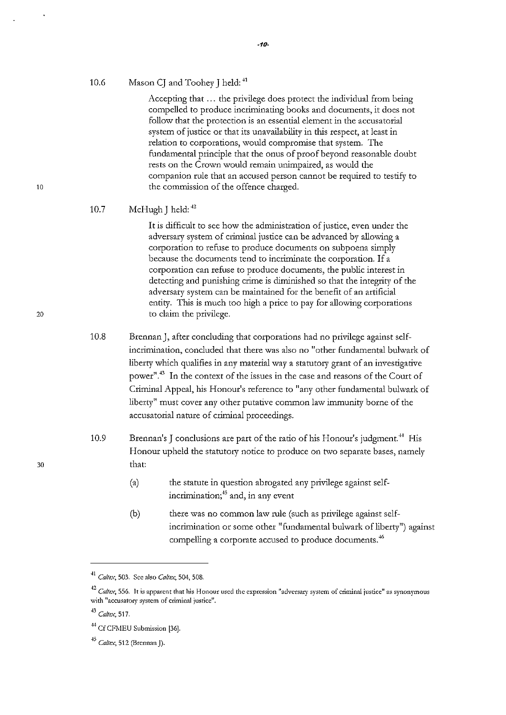#### 10.6 Mason CI and Toohey I held:  $41$

Accepting that ... the privilege does protect the individual from being compelled to produce incriminating books and documents, it does not follow that the protection is an essential element in the accusatorial system of justice or that its unavailability in this respect, at least in relation to corporations, would compromise that system. The fundamental principle that the onus of proof beyond reasonable doubt rests on the Crown would remain unimpaired, as would the companion rule that an accused person cannot be required to testify to the commission of the offence charged.

#### 10.7 McHugh J held:  $42$

It is difficult to see how the administration of justice, even under the adversary system of criminal justice can be advanced by allowing a corporation to refuse to produce documents on subpoena simply because the documents tend to incriminate the corporation. If <sup>a</sup> corporation can refuse to produce documents, the public interest in detecting and punishing crime is diminished so that the integrity of the adversary system can be maintained for the benefit of an artificial entity. This is much too high a price to pay for allowing corporations to claim the privilege.

10.8 Brennan], after concluding that corporations had no privilege against selfincrimination, concluded that there was also no "other fundamental bulwark of liberty which qualifies in any material way a statutory grant of an investigative power"." In the context of the issues in the case and reasons of the Court of Criminal Appeal, his Honour's reference to "any other fundamental bulwark of liberty" must cover any other putative common law immunity borne of the accusatorial nature of criminal proceedings.

- 10.9 Brennan's J conclusions are part of the ratio of his Honour's judgment.<sup>44</sup> His Honour upheld the statutory notice to produce on two separate bases, namely that:
	- (a) the statute in question abrogated any privilege against selfincrimination;<sup>45</sup> and, in any event
	- (b) there was no common law rule (such as privilege against selfincrimination or some other "fundamental bulwark of liberty") against compelling a corporate accused to produce documents.<sup>46</sup>

<sup>41</sup>*Caltex,* **503. Sec also** *Ca!tex,* **504, 508.** 

<sup>&</sup>lt;sup>42</sup> Caltex, 556. It is apparent that his Honour used the expression "adversary system of criminal justice" as synonymous **with "accusatory system of criminal justice".** 

<sup>43</sup>*Caltex,* **517.** 

<sup>&</sup>lt;sup>44</sup> Cf CFMEU Submission [36].

<sup>.,</sup> *Ca/tex,* **512 (Brennan]).**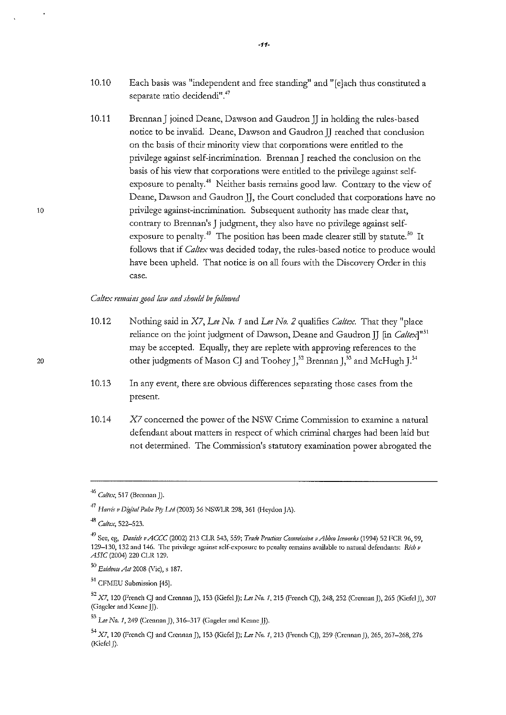- 10.10 Each basis was "independent and free standing" and "[e]ach thus constituted a separate ratio decidendi".<sup>47</sup>
- 10.11 Brennan J joined Deane, Dawson and Gaudron JJ in holding the rules-based notice to be invalid. Deane, Dawson and Gaudron JJ reached that conclusion on the basis of their minority view that corporations were entided to the privilege against self-incrimination. Brennan J reached the conclusion on the basis of his view that corporations were entitled to the privilege against selfexposure to penalty.<sup>48</sup> Neither basis remains good law. Contrary to the view of Deane, Dawson and Gaudron JJ, the Court concluded that corporations have no privilege against-incrimination. Subsequent authority has made clear that, contrary to Brennan's J judgment, they also have no privilege against selfexposure to penalty.<sup> $49$ </sup> The position has been made clearer still by statute.<sup>50</sup> It follows that if *Caltex* was decided today, the rules-based notice to produce would have been upheld. That notice is on all fours with the Discovery Order in this **case.**

#### *Caltex remains good law and should be followed*

- 10.12 Nothing said in X7, *Lee No. 1* and *Lee No. 2* qualifies *Caltex.* That they "place reliance on the joint judgment of Dawson, Deane and Gaudron JJ [in *Caltex]" <sup>51</sup>* may be accepted. Equally, they are replete with approving references to the other judgments of Mason CJ and Toohey J,<sup>52</sup> Brennan J,<sup>53</sup> and McHugh J.<sup>54</sup>
- 10.13 In any event, there are obvious differences separating those cases from the present.
- 10.14  $X7$  concerned the power of the NSW Crime Commission to examine a natural defendant about matters in respect of which criminal charges had been laid but not determined. The Commission's statutory examination power abrogated the

<sup>46</sup>*Ca/tex,* **517 (Brennan J).** 

<sup>47</sup>*Hanis v Digital Pulse P(y Ltd* **(2003) 56 NS\VLR 298, 361 (Heydon JA).** 

<sup>48</sup>*Caltex,* **522-523.** 

<sup>&</sup>lt;sup>49</sup> See, eg, *Daniels v ACCC* (2002) 213 CLR 543, 559; *Trade Practices Commission v Abbro Iceworks* (1994) 52 FCR 96, 99, **129-130, 132 and 146. The privilege against self-exposure to penalty remains available to natural defendants:** *Rich v ASIC* (2004) 220 CLR 129.

<sup>50</sup>*EvideuceAct2008* **(Vic), s 187.** 

<sup>&</sup>lt;sup>51</sup> CFMEU Submission [45].

<sup>52</sup>**X7, 120 (French CJ and Crcnnan J), 153 (Kiefcl J);** *Lee No. 1,* **215 (French CJ), 248, 252 (Crennan J), 265 (Kiefel J), <sup>307</sup> (Gagclcr and Keane JJ).** 

<sup>53</sup>*Lee No. 1,* **249 (Crcnnan J), 316-317 (Gagcler and Keane JJ).** 

<sup>54</sup>**X7, 120 (French CJ and Crcnnan J), 153 (Kiefcl J);** *Lee No.* **1, 213 (French CJ), 259 (Crcnnan J), 265, 267-268, 276**  (Kicfcl J).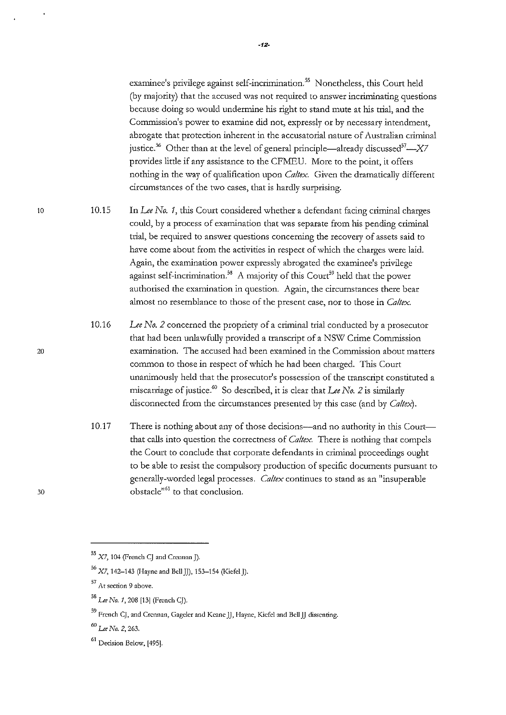examinee's privilege against self-incrimination.<sup>55</sup> Nonetheless, this Court held (by majority) that the accused was not required to answer incriminating questions because doing so would undermine his right to stand mute at his trial, and the **Commission's power to examine did not, expressly or by necessary intendment,**  abrogate that protection inherent in the accusatorial nature of Australian criminal justice.<sup>56</sup> Other than at the level of general principle—already discussed<sup>57</sup>— $X7$ provides little if any assistance to the CFMEU. More to the point, it offers nothing in the way of qualification upon *Caltex*. Given the dramatically different circumstances of the two cases, that is hardly surprising.

10.15 In *Lee No. 1,* this Court considered whether a defendant facing criminal charges could, by a process of examination that was separate from his pending criminal **trial, be required to answer questions concerning the recovery of assets said to**  have come about from the activities in respect of which the charges were laid. Again, the examination power expressly abrogated the examinee's privilege against self-incrimination.<sup>58</sup> A majority of this Court<sup>59</sup> held that the power authorised the examination in question. Again, the circumstances there bear almost no resemblance to those of the present case, nor to those in *Caitex.* 

- 10.16 *Lee No. 2* concerned the propriety of a criminal trial conducted by a prosecutor that had been uulawfully provided a transcript of a NSW Crime Commission examination. The accused had been examined in the Commission about matters common to those in respect of which he had been charged. This Court unanimously held that the prosecutor's possession of the transcript constituted a miscarriage of justice.<sup>60</sup> So described, it is clear that *Lee No. 2* is similarly disconnected from the circumstances presented by this case (and by *Caitex).*
- 10.17 There is nothing about any of those decisions—and no authority in this Court that calls into question the correctness of *Caitex.* There is nothing that compels the Court to conclude that corporate defendants in criminal proceedings ought to be able to resist the compulsory production of specific documents pursuant to generally-worded legal processes. *Caltex* continues to stand as an "insuperable obstacle<sup>"61</sup> to that conclusion.

20

<sup>55</sup>X7, **104 (French CJ and Crennanj).** 

 $56$  X7, 142-143 (Hayne and Bell J)), 153-154 (Kiefel J).

<sup>57</sup>**At section 9 above.** 

<sup>58</sup>*Lee No.* **1, 208 [13] (French CJ).** 

<sup>59</sup>**French CJ, and Crcnnan, Gageler and Keane JJ, Hayne, Kiefcl and Bell JJ dissenting.** 

<sup>60</sup>*Lee No.* **2, 263.** 

<sup>&</sup>lt;sup>61</sup> Decision Below, [495].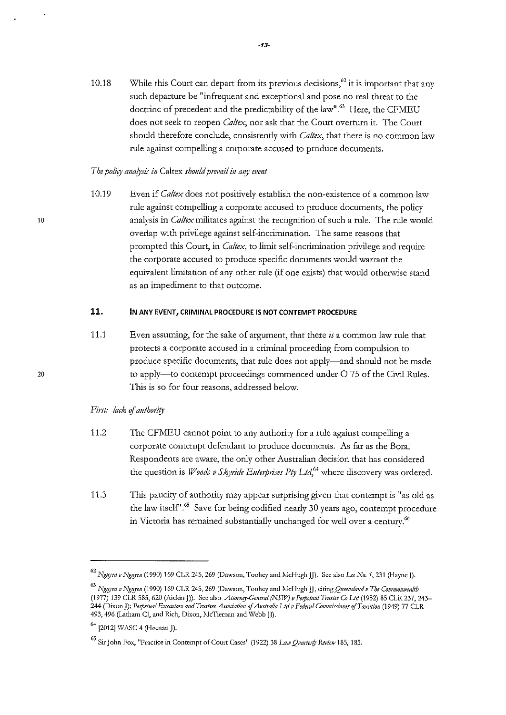10.18 While this Court can depart from its previous decisions,  $^{62}$  it is important that any such departure be "infrequent and exceptional and pose no real threat to the doctrine of precedent and the predictability of the law".<sup>63</sup> Here, the CFMEU does not seek to reopen *Caltex,* nor ask that the Court overturn it. The Court should therefore conclude, consistently with *Caltex,* that there is no common law rule against compelling a corporate accused to produce documents.

## *The policy analysis in Caltex should prevail in any event*

10.19 Even if *Caltex* does not positively establish the non-existence of a common law rule against compelling a corporate accused to produce documents, the policy analysis in *Ca/tex* militates against the recognition of such a rule. The rule would overlap with privilege against self-incrimination. The same reasons that prompted this Court, in *Caltex,* to limit self-incrimination privilege and require the corporate accused to produce specific documents would warrant the equivalent limitation of any other rule (if one exists) that would otherwise stand as an impediment to that outcome.

# **11. IN ANY EVENT, CRIMINAL PROCEDURE IS NOT CONTEMPT PROCEDURE**

11.1 Even assunling, for the sake of argument, that there *is* a common law rule that protects a corporate accused in a criminal proceeding from compulsion to produce specific documents, that rule does not apply-and should not be made to apply-to contempt proceedings commenced under O 75 of the Civil Rules. This is so for four reasons, addressed below.

## First: lack of authority

- 11.2 The CFMEU cannot point to any authority for a rule against compelling a corporate contempt defendant to produce documents. As far as the Bora! Respondents are aware, the only other Australian decision that has considered the question is *Woods v Skyride Enterprises Pty Ltd*,<sup>64</sup> where discovery was ordered.
- 11.3 This paucity of authority may appear surprising given that contempt is "as old as the law itself".<sup>65</sup> Save for being codified nearly 30 years ago, contempt procedure in Victoria has remained substantially unchanged for well over a century.<sup>66</sup>

<sup>62</sup>*J:'lglf)'e/1 v Ngl!)'Cil* **(1990} 169 CLR 245, 269 (Dawson, Toohey and J\Ici-Iugh JJ). See also** *Lee No. 1,* **231 (Hayne J).** 

<sup>&</sup>lt;sup>63</sup> Nguyen v Nguyen (1990) 169 CLR 245, 269 (Dawson, Toohey and McHugh *JJ, citing Queensland v The Commonwealth* (1977) 139 CLR 585, 620 (Aickin J)). See also *Attorney-General (NSW) v Perpetual Trustee Co Ltd* (1952) 85 CLR 237, 243-**244 (Dixon J);** *Pe1petual Exemtors a11d Tmslm Assodation of Australia lJd v Federal CommissiollerifTaxation* **(1949) 77 CLR**  493, 496 (Latham CJ, and Rich, Dixon, McTiernan and Webb *J*]).

 $^{64}$  [2012] WASC 4 (Heenan ]).

<sup>65</sup> Sir John Fox, "Practice in Contempt of Court Cases" (1922) 38 *Law Quarterly Review* 185, 185.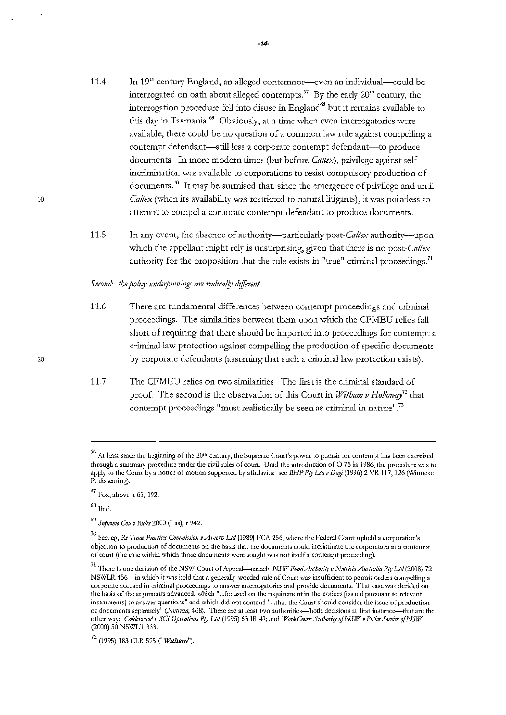- 11.4 In 19<sup>th</sup> century England, an alleged contemnor-even an individual-could be interrogated on oath about alleged contempts.<sup>67</sup> By the early  $20<sup>th</sup>$  century, the interrogation procedure fell into disuse in England<sup>68</sup> but it remains available to this day in Tasmania." Obviously, at a time when even interrogatories were available, there could be no question of a common law rule against compelling a contempt defendant-still less a corporate contempt defendant-to produce documents. In more modern times (but before *Caitex),* privilege against selfincrimination was available to corporations to resist compulsory production of documents.<sup>70</sup> It may be surmised that, since the emergence of privilege and until *Ca!tex* (when its availability was restricted to natural litigants), it was pointless to attempt to compel a corporate contempt defendant to produce documents.
- 11.5 In any event, the absence of authority-particularly *post-Caltex* authority-upon which the appellant might rely is unsurprising, given that there is no *post-Caltex*  authority for the proposition that the rule exists in "true" criminal proceedings.<sup>71</sup>

#### *Second: the policy underpinnings are radically different*

- 11.6 There are fundamental differences between contempt proceedings and criminal proceedings. The similarities between them upon which the CFMEU relies fall short of requiring that there should be imported into proceedings for contempt a criminal law protection against compelling the production of specific documents by corporate defendants (assuming that such a criminal law protection exists).
- 11.7 The CFMEU relies on two similarities. The first is the criminal standard of proof. The second is the observation of this Court in *Witham v Holloway*<sup>72</sup> that contempt proceedings "must realistically be seen as criminal in nature".<sup>73</sup>

<sup>&</sup>lt;sup>66</sup> At least since the beginning of the 20<sup>th</sup> century, the Supreme Court's power to punish for contempt has been exercised through a summary procedure under the civil rules of court. Until the introduction of 0 75 in 1986, the procedure was to apply to the Court by a notice of motion supported by affidavits: see *BHP Pty Ltd v Dagi* (1996) 2 VR 117, 126 (Winneke P, dissenting).

<sup>67</sup> Fox, above n 65, 192.

 $68$  Ibid.

<sup>69</sup>*SNpreme Comt R.Jdes* 2000 (I'as), r 942.

<sup>&</sup>lt;sup>70</sup> See, eg, *Re Trade Practices Commission v Arnotts Ltd* [1989] FCA 256, where the Federal Court upheld a corporation's objection to production of documents on the basis that the documents could incriminate the corporation in a contempt of court (the case within which those documents were sought was not itself a contempt proceeding).

<sup>&</sup>lt;sup>71</sup> There is one decision of the NSW Court of Appeal-namely *NSIV Food Authority v Nutricia Australia Pty Ltd* (2008) 72 NSWLR 456--in which it was held that a generally-worded rule of Court was insufficient to permit orders compelling a corporate accused in criminal proceedings to answer interrogatories and provide documents. That case was decided on the basis of the arguments advanced, which " ... focused on the requirement in the notices [issued pursuant to relevant instruments] to answer questions" and which did not contend " ... that the Court should consider the issue of production of documents separately" (Nutricia, 468). There are at least two authorities-both decisions at first instance-that are the other way: *Calderwood v SCI Operations Pty L1d* (1995) 63 IR 49; and *WorkCover Authority of NSW v Police Service of NSW* (2000) 50 NSWLR 333.

<sup>72 (1995) 183</sup> CLR 525 *("Witham").*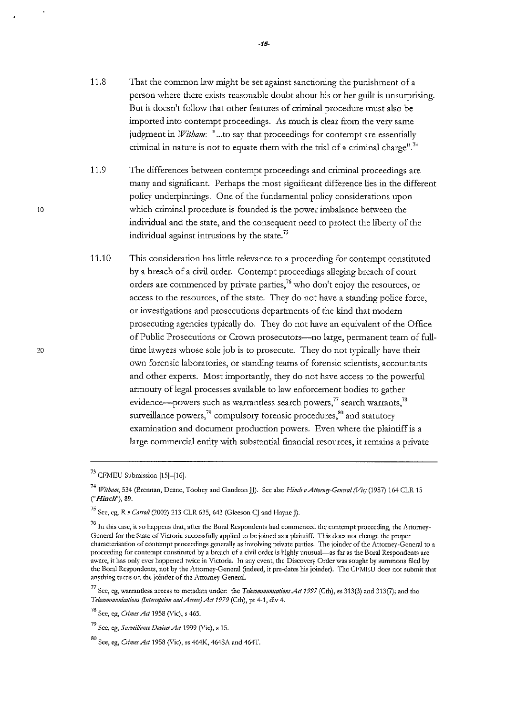- 11.8 That the common law might be set against sanctioning the punishment of a person where there exists reasonable doubt about his or her guilt is unsurprising. But it doesn't follow that other features of criminal procedure must also be imported into contempt proceedings. As much is clear from the very same judgment in *Witham*: "...to say that proceedings for contempt are essentially criminal in nature is not to equate them with the trial of a criminal charge".<sup>74</sup>
- 11.9 The differences between contempt proceedings and criminal proceedings are many and significant. Perhaps the most significant difference lies in the different policy underpinnings. One of the fundamental policy considerations upon which criminal procedure is founded is the power imbalance between the individual and the state, and the consequent need to protect the liberty of the individual against intrusions by the state. <sup>75</sup>
- 11.10 This consideration has litde relevance to a proceeding for contempt constituted by a breach of a civil order. Contempt proceedings alleging breach of court orders are commenced by private parties,<sup>76</sup> who don't enjoy the resources, or access to the resources, of the state. They do not have a standing police force, or investigations and prosecutions departments of the kind that modern prosecuting agencies typically do. They do not have an equivalent of the Office of Public Prosecutions or Crown prosecutors-no large, permanent team of fulltime lawyers whose sole job is to prosecute. They do not typically have their own forensic laboratories, or standing teams of forensic scientists, accountants and other experts. Most importantly, they do not have access to the powerful armoury of legal processes available to law enforcement bodies to gather evidence—powers such as warrantless search powers,<sup>77</sup> search warrants,<sup>78</sup> surveillance powers,<sup>79</sup> compulsory forensic procedures, $^{80}$  and statutory examination and document production powers. Even where the plaintiff is a large commercial entity with substantial financial resources, it remains a private

<sup>73</sup> CFMEU Submission [15]-[16].

<sup>&</sup>lt;sup>74</sup> Witham, 534 (Brennan, Deane, Toohey and Gaudron JJ). See also *Hinch v Attorney-General (Vic)* (1987) 164 CLR 15 *("Hinch"),* 89.

<sup>75</sup> Sec, cg, *R v CanvU* (2002) 213 CLR 635, 643 (Gleeson CJ and Hayne J).

<sup>&</sup>lt;sup>76</sup> In this case, it so happens that, after the Boral Respondents had commenced the contempt proceeding, the Attorney-General for the State of Victoria successfully applied to be joined as a plaintiff. This docs not change the proper characterisation of contempt proceedings generally as involving private parties. The joinder of the Attorney-General to a proceeding for contempt constituted by a breach of a civil order is highly unusual-as far as the Boral Respondents arc aware, it has only ever happened twice in Victoria. In any event, the Discovery Order was sought by summons filed by the Boral Respondents, not by the Attorney-General (indeed, it pre-dates his joinder). The CFMEU does not submit that anything turns on the joinder of the Attorney-General.

<sup>&</sup>lt;sup>77</sup> See, eg, warrantless access to metadata under: the *Telecommunications Act 1997* (Cth), ss 313(3) and 313(7); and the *Telecotmmmimtions (Interception a1td Acfess) Af/1979* (Cth), pt 4-1, div 4.

<sup>78</sup> See, eg, *Gimes Att* 1958 (Vic), s 465.

<sup>79</sup> Sec, eg, *Surveillance Devices Ad* 1999 (Vic), s 15.

<sup>80</sup> Sec, cg, *Climes Act* 1958 (Vic), ss 464K, 464SA and 464T.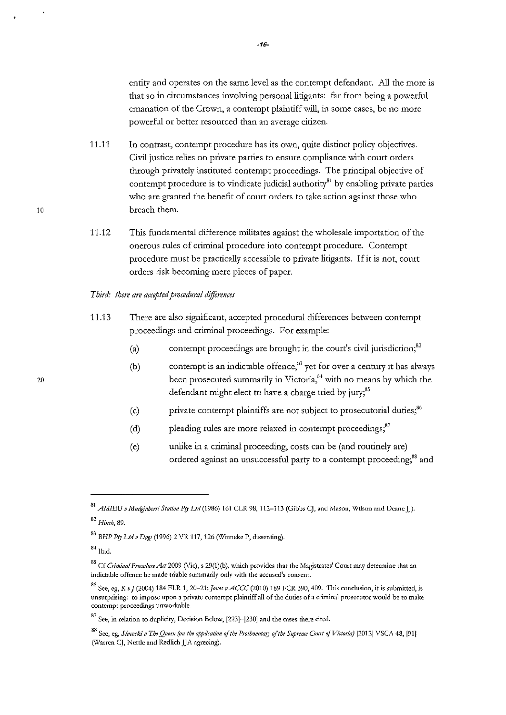entity and operates on the same level as the contempt defendant. All the more is that so in circumstances involving personal litigants: far from being a powerful **emanation of the Crown, a contempt plaintiff will, in some cases, be no more**  powerful or better resourced than an average citizen.

- 11.11 In contrast, contempt procedure has its own, quite distinct policy objectives. Civil justice relies on private parties to ensure compliance \vith court orders through privately instituted contempt proceedings. The principal objective of contempt procedure is to vindicate judicial authority $^{81}$  by enabling private parties who are granted the benefit of court orders to take action against those who breach them.
- 11.12 This fundamental difference militates against the wholesale importation of the onerous rules of criminal procedure into contempt procedure. Contempt procedure must be practically accessible to private litigants. If it is not, court orders risk becoming mere pieces of paper.

## *Third: there are accepted procedural differences*

- 11.13 There are also significant, accepted procedural differences between contempt proceedings and criminal proceedings. For example:
	- (a) contempt proceedings are brought in the court's civil jurisdiction;<sup>82</sup>
	- (b) contempt is an indictable offence,<sup>83</sup> yet for over a century it has always been prosecuted summarily in Victoria, $^{8+}$  with no means by which the defendant might elect to have a charge tried by jury;<sup>85</sup>
	- (c) private contempt plaintiffs are not subject to prosecutorial duties;"
	- (d) pleading rules are more relaxed in contempt proceedings;<sup>87</sup>
	- (e) unlike in a criminal proceeding, costs can be (and routinely are) ordered against an unsuccessful party to a contempt proceeding;<sup>88</sup> and

 $20$ 

<sup>&</sup>lt;sup>81</sup> AMIEU v Mudginberri Station Pty Ltd (1986) 161 CLR 98, 112-113 (Gibbs CJ, and Mason, Wilson and Deane JJ).

<sup>82</sup>*Hinch,* **89.** 

<sup>83</sup>*BHP PtJ• Ltd v Dagi* **(1996) 2 VR 117, 126 (\Vinneke P, dissenting).** 

**<sup>8</sup> .j.lbid.** 

<sup>85</sup> Cf *Criminal Procedure Act* 2009 (Vic), s 29(1)(b), which provides that the Magistrates' Court may determine that an **indictable offence be made triable summarily only with the accused's consent.** 

<sup>86</sup>**Sec, cg,** *K v* **J (2004) 184 FLR 1,** *20-21;Jones vACCC* **(2010) 189 FCR 390,409. This conclusion, it is submitted, is unsurprising: to impose upon a private contempt plaintiff all of the duties of a criminal prosecutor would be to make contempt proceedings unworkable.** 

<sup>87</sup>**See, in relation to duplicity, Decision Below, [223]-[230] and the cases there cited.** 

<sup>88</sup> See, eg, *Slaveski v The Queen (on the application of the Prothonotary of the Supreme Court of Victoria) [2012] VSCA 48, [91]* **(Warren CJ, Nettle and Redlich JJA agreeing).**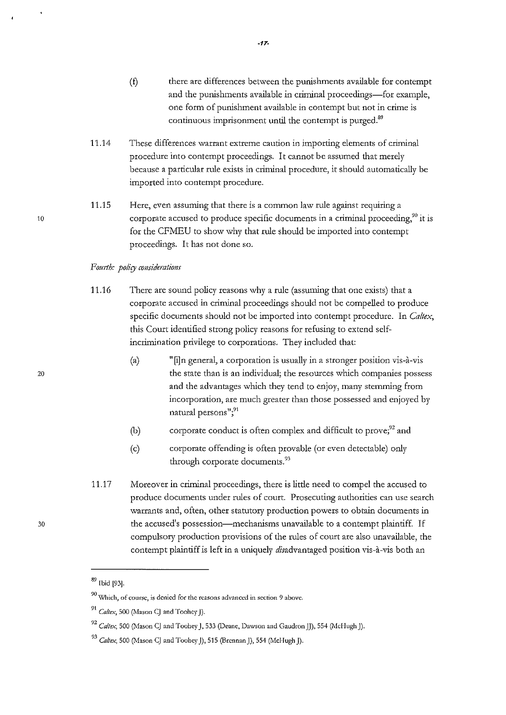- (!) there are differences between the punishments available for contempt and the punishments available in criminal proceedings-for example, one form of punishment available in contempt but not in crime is continuous imprisonment until the contempt is purged.<sup>89</sup>
- 11.14 These differences warrant extreme caution in importing elements of criminal procedure into contempt proceedings. It cannot be assumed that merely because a particular rule exists in criminal procedure, it should automatically be imported into contempt procedure.

**-17-**

11.15 Here, even assuming that there is a common law rule against requiring a corporate accused to produce specific documents in a criminal proceeding, $90$  it is for the CFMEU to show why that rule should be imported into contempt proceedings. It has not done so.

### Fourth: policy considerations

- 11.16 There are sound policy reasons why a rule (assuming that one exists) that a corporate accused in criminal proceedings should not be compelled to produce specific documents should not be imported into contempt procedure. In *Caltex,*  this Court identified strong policy reasons for refusing to extend selfincrimination privilege to corporations. They included that:
	- (a) "[i)n general, a corporation is usually in a stronger position vis-a-vis the state than is an individual; the resources which companies possess and the advantages which they tend to enjoy, many stemming from incorporation, are much greater than those possessed and enjoyed by **natural persons";<sup>91</sup>**
	- (b) corporate conduct is often complex and difficult to prove; $^{92}$  and
	- (c) c01porate offending is often provable (or even detectable) only through corporate documents.<sup>93</sup>
- 11.17 Moreover in criminal proceedings, there is little need to compel the accused to produce documents under mles of court. Prosecuting authorities can use search **warrants and, often, other statutory production powers to obtain documents in**  the accused's possession-mechanisms unavailable to a contempt plaintiff. If compulsoty production provisions of the mles of court are also unavailable, the contempt plaintiff is left in a uniquely disadvantaged position vis-à-vis both an

10

<sup>&</sup>lt;sup>89</sup> Ibid [93].

<sup>90</sup>**\V'hich, of course, is denied for the reasons advanced in section** *9* **above.** 

<sup>&</sup>lt;sup>91</sup> Caltex, 500 (Mason C) and Toohey **J**).

<sup>&</sup>lt;sup>92</sup> Caltex, 500 (Mason CJ and Toohey J, 533 (Deane, Dawson and Gaudron JJ), 554 (McHugh J).

<sup>&</sup>lt;sup>93</sup> *Caltex*, 500 (Mason CJ and Toohey ]), 515 (Brennan ]), 554 (McHugh ]).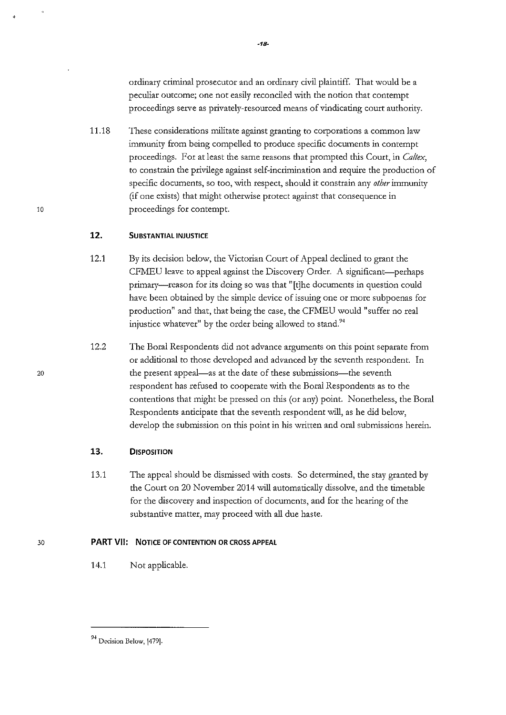ordinary criminal prosecutor and an ordinaty civil plaintiff. That would be a peculiar outcome; one not easily reconciled with the notion that contempt proceedings serve as privately-resourced means of vindicating court authority.

11.18 These considerations militate against granting to corporations a common law immunity from being compelled to produce specific documents in contempt proceedings. For at least the same reasons that prompted this Court, in *Caltex,*  to constrain the privilege against self-incrimination and require the production of specific documents, so too, with respect, should it constrain any *other* immunity (if one exists) that might otherwise protect against that consequence in proceedings for contempt.

#### **12. SUBSTANTIAL INJUSTICE**

- 12.1 By its decision below, the Victorian Court of Appeal declined to grant the CFMEU leave to appeal against the Discovery Order. A significant-perhaps primary-reason for its doing so was that "[t]he documents in question could have been obtained by the simple device of issuing one or more subpoenas for production" and that, that being the case, the CFMEU would "suffer no real injustice whatever" by the order being allowed to stand.<sup>94</sup>
- 12.2 The Boral Respondents did not advance arguments on this point separate from or additional to those developed and advanced by the seventh respondent. In the present appeal-as at the date of these submissions-the seventh respondent has refused to cooperate \vith the Bora! Respondents as to the contentions that might be pressed on this (or any) point. Nonetheless, the Bora! Respondents anticipate that the seventh respondent will, as he did below, develop the submission on this point in his written and oral submissions herein.

## **13. DISPOSITION**

13.1 The appeal should be dismissed \vith costs. So determined, the stay granted by the Court on 20 November 2014 will automatically dissolve, and the timetable for the discovery and inspection of documents, and for the hearing of the substantive matter, may proceed with all due haste.

## **PART VII: NOTICE OF CONTENTION** OR CROSS **APPEAL**

14.1 Not applicable.

20

<sup>&</sup>lt;sup>94</sup> Decision Below, [479].